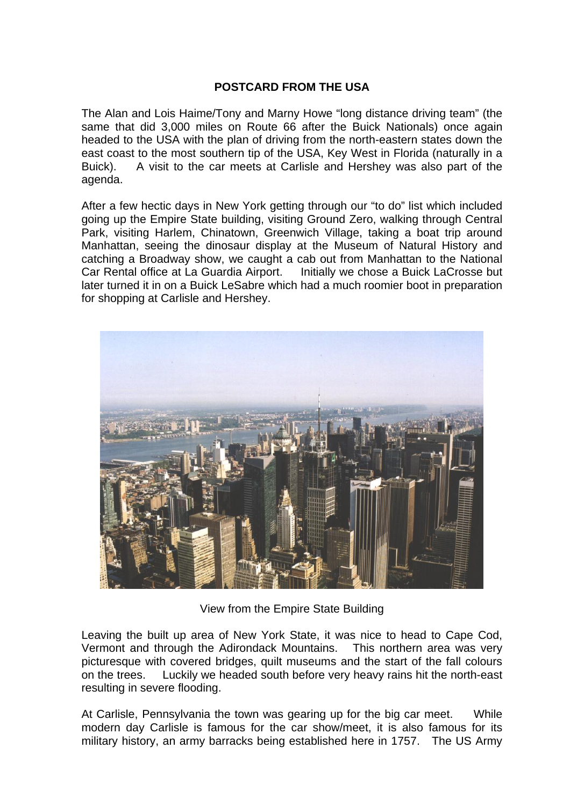## **POSTCARD FROM THE USA**

The Alan and Lois Haime/Tony and Marny Howe "long distance driving team" (the same that did 3,000 miles on Route 66 after the Buick Nationals) once again headed to the USA with the plan of driving from the north-eastern states down the east coast to the most southern tip of the USA, Key West in Florida (naturally in a Buick). A visit to the car meets at Carlisle and Hershey was also part of the agenda.

After a few hectic days in New York getting through our "to do" list which included going up the Empire State building, visiting Ground Zero, walking through Central Park, visiting Harlem, Chinatown, Greenwich Village, taking a boat trip around Manhattan, seeing the dinosaur display at the Museum of Natural History and catching a Broadway show, we caught a cab out from Manhattan to the National Car Rental office at La Guardia Airport. Initially we chose a Buick LaCrosse but later turned it in on a Buick LeSabre which had a much roomier boot in preparation for shopping at Carlisle and Hershey.



View from the Empire State Building

Leaving the built up area of New York State, it was nice to head to Cape Cod, Vermont and through the Adirondack Mountains. This northern area was very picturesque with covered bridges, quilt museums and the start of the fall colours on the trees. Luckily we headed south before very heavy rains hit the north-east resulting in severe flooding.

At Carlisle, Pennsylvania the town was gearing up for the big car meet. While modern day Carlisle is famous for the car show/meet, it is also famous for its military history, an army barracks being established here in 1757. The US Army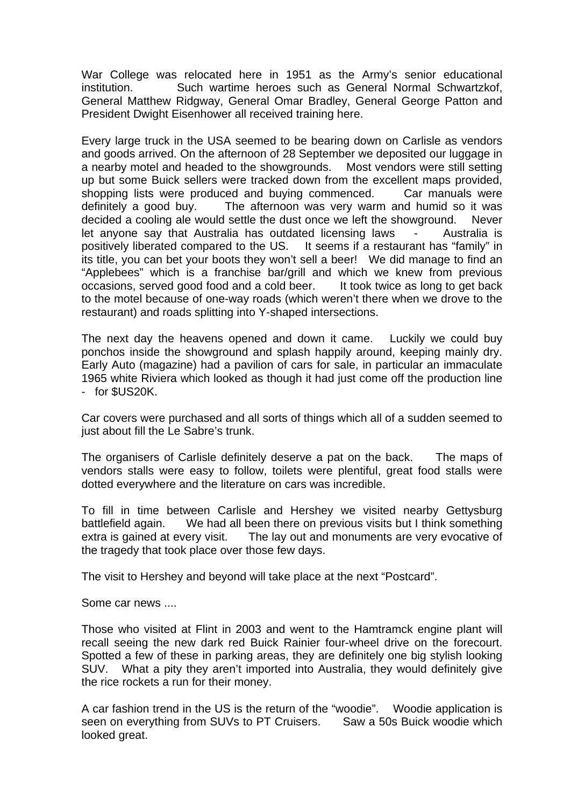War College was relocated here in 1951 as the Army's senior educational institution. Such wartime heroes such as General Normal Schwartzkof, General Matthew Ridgway, General Omar Bradley, General George Patton and President Dwight Eisenhower all received training here.

Every large truck in the USA seemed to be bearing down on Carlisle as vendors and goods arrived. On the afternoon of 28 September we deposited our luggage in a nearby motel and headed to the showgrounds. Most vendors were still setting up but some Buick sellers were tracked down from the excellent maps provided, shopping lists were produced and buying commenced. Car manuals were definitely a good buy. The afternoon was very warm and humid so it was decided a cooling ale would settle the dust once we left the showground. Never let anyone say that Australia has outdated licensing laws - Australia is positively liberated compared to the US. It seems if a restaurant has "family" in its title, you can bet your boots they won't sell a beer! We did manage to find an "Applebees" which is a franchise bar/grill and which we knew from previous occasions, served good food and a cold beer. It took twice as long to get back to the motel because of one-way roads (which weren't there when we drove to the restaurant) and roads splitting into Y-shaped intersections.

The next day the heavens opened and down it came. Luckily we could buy ponchos inside the showground and splash happily around, keeping mainly dry. Early Auto (magazine) had a pavilion of cars for sale, in particular an immaculate 1965 white Riviera which looked as though it had just come off the production line - for \$US20K.

Car covers were purchased and all sorts of things which all of a sudden seemed to just about fill the Le Sabre's trunk.

The organisers of Carlisle definitely deserve a pat on the back. The maps of vendors stalls were easy to follow, toilets were plentiful, great food stalls were dotted everywhere and the literature on cars was incredible.

To fill in time between Carlisle and Hershey we visited nearby Gettysburg battlefield again. We had all been there on previous visits but I think something extra is gained at every visit. The lay out and monuments are very evocative of the tragedy that took place over those few days.

The visit to Hershey and beyond will take place at the next "Postcard".

Some car news ....

Those who visited at Flint in 2003 and went to the Hamtramck engine plant will recall seeing the new dark red Buick Rainier four-wheel drive on the forecourt. Spotted a few of these in parking areas, they are definitely one big stylish looking SUV. What a pity they aren't imported into Australia, they would definitely give the rice rockets a run for their money.

A car fashion trend in the US is the return of the "woodie". Woodie application is seen on everything from SUVs to PT Cruisers. Saw a 50s Buick woodie which looked great.